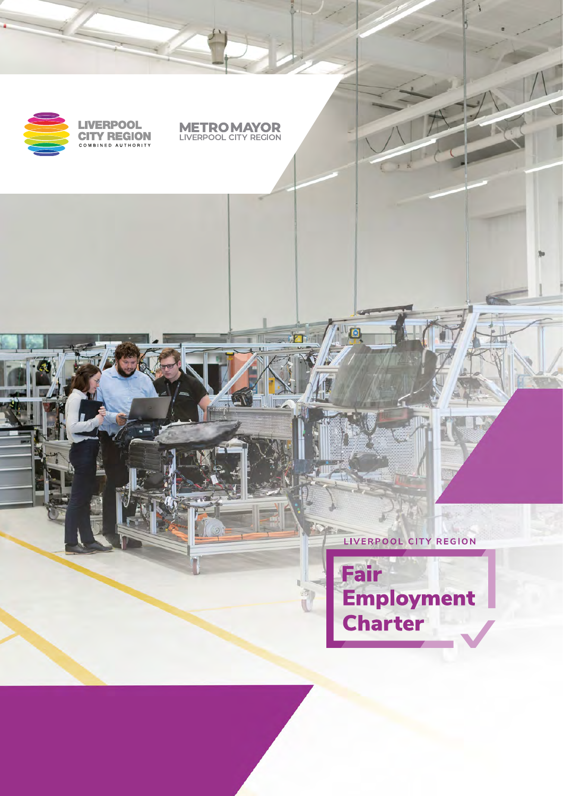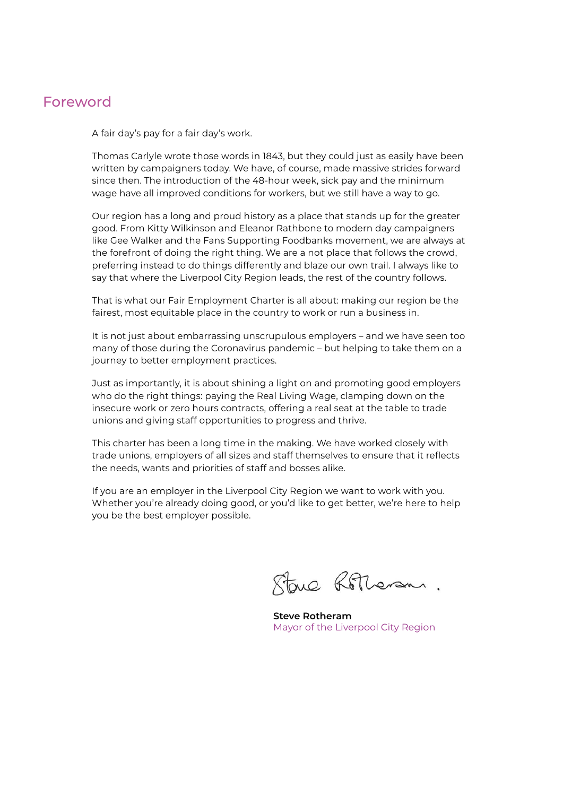#### Foreword

A fair day's pay for a fair day's work.

Thomas Carlyle wrote those words in 1843, but they could just as easily have been written by campaigners today. We have, of course, made massive strides forward since then. The introduction of the 48-hour week, sick pay and the minimum wage have all improved conditions for workers, but we still have a way to go.

Our region has a long and proud history as a place that stands up for the greater good. From Kitty Wilkinson and Eleanor Rathbone to modern day campaigners like Gee Walker and the Fans Supporting Foodbanks movement, we are always at the forefront of doing the right thing. We are a not place that follows the crowd, preferring instead to do things differently and blaze our own trail. I always like to say that where the Liverpool City Region leads, the rest of the country follows.

That is what our Fair Employment Charter is all about: making our region be the fairest, most equitable place in the country to work or run a business in.

It is not just about embarrassing unscrupulous employers – and we have seen too many of those during the Coronavirus pandemic – but helping to take them on a journey to better employment practices.

Just as importantly, it is about shining a light on and promoting good employers who do the right things: paying the Real Living Wage, clamping down on the insecure work or zero hours contracts, offering a real seat at the table to trade unions and giving staff opportunities to progress and thrive.

This charter has been a long time in the making. We have worked closely with trade unions, employers of all sizes and staff themselves to ensure that it reflects the needs, wants and priorities of staff and bosses alike.

If you are an employer in the Liverpool City Region we want to work with you. Whether you're already doing good, or you'd like to get better, we're here to help you be the best employer possible.

Stone Rotheram.

**Steve Rotheram** Mayor of the Liverpool City Region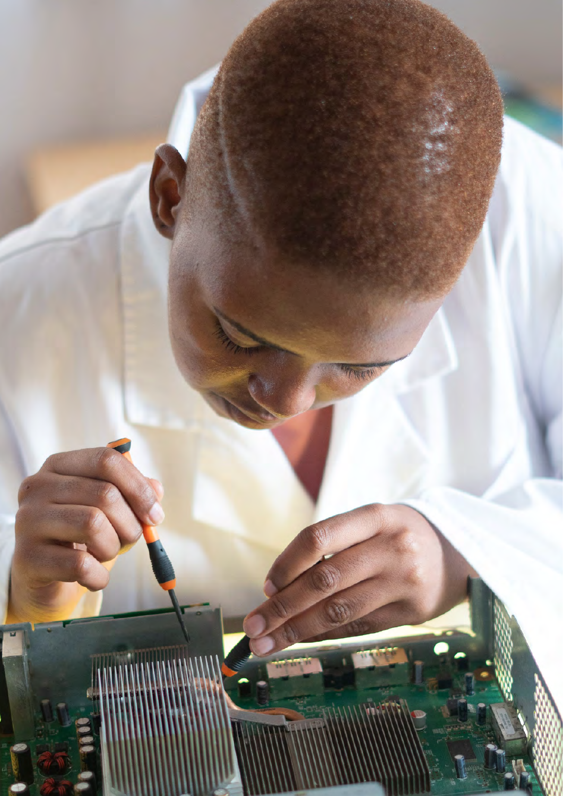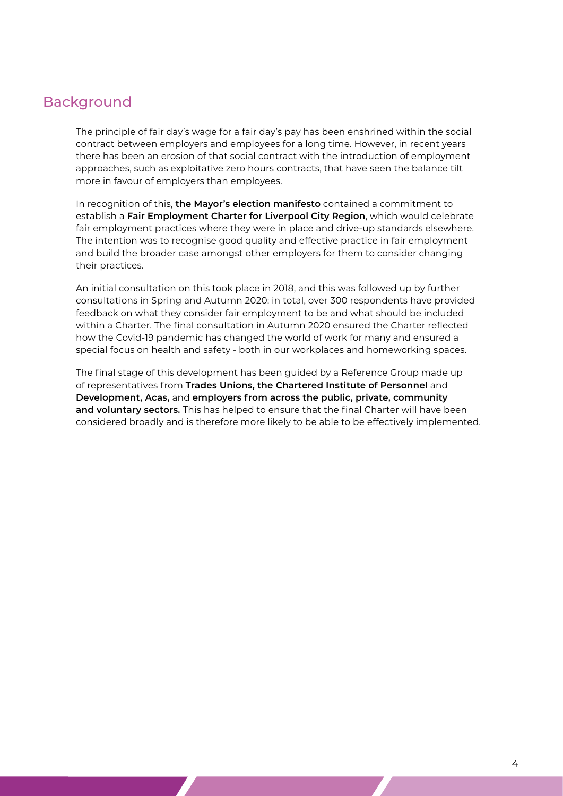## Background

The principle of fair day's wage for a fair day's pay has been enshrined within the social contract between employers and employees for a long time. However, in recent years there has been an erosion of that social contract with the introduction of employment approaches, such as exploitative zero hours contracts, that have seen the balance tilt more in favour of employers than employees.

In recognition of this, **the Mayor's election manifesto** contained a commitment to establish a **Fair Employment Charter for Liverpool City Region**, which would celebrate fair employment practices where they were in place and drive-up standards elsewhere. The intention was to recognise good quality and effective practice in fair employment and build the broader case amongst other employers for them to consider changing their practices.

An initial consultation on this took place in 2018, and this was followed up by further consultations in Spring and Autumn 2020: in total, over 300 respondents have provided feedback on what they consider fair employment to be and what should be included within a Charter. The final consultation in Autumn 2020 ensured the Charter reflected how the Covid-19 pandemic has changed the world of work for many and ensured a special focus on health and safety - both in our workplaces and homeworking spaces.

The final stage of this development has been guided by a Reference Group made up of representatives from **Trades Unions, the Chartered Institute of Personnel** and **Development, Acas,** and **employers from across the public, private, community and voluntary sectors.** This has helped to ensure that the final Charter will have been considered broadly and is therefore more likely to be able to be effectively implemented.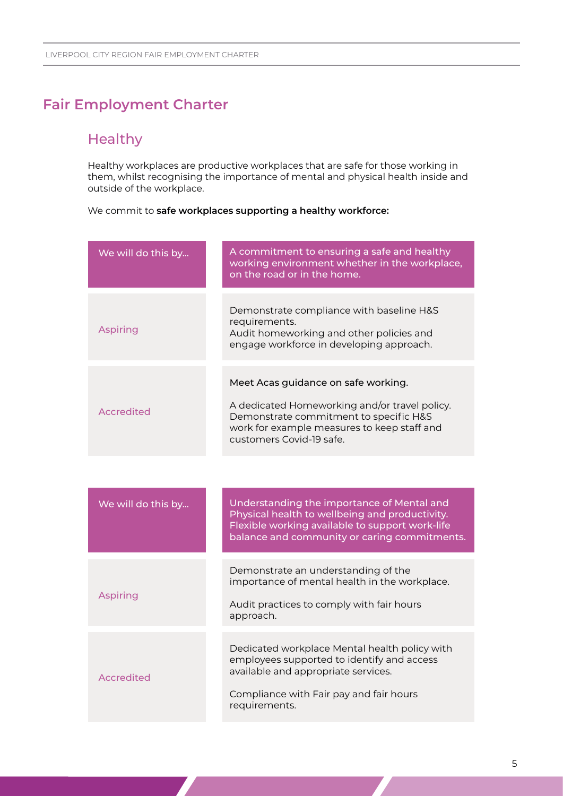# **Fair Employment Charter**

## **Healthy**

Healthy workplaces are productive workplaces that are safe for those working in them, whilst recognising the importance of mental and physical health inside and outside of the workplace.

We commit to **safe workplaces supporting a healthy workforce:**

| We will do this by | A commitment to ensuring a safe and healthy<br>working environment whether in the workplace,<br>on the road or in the home.                                                                               |
|--------------------|-----------------------------------------------------------------------------------------------------------------------------------------------------------------------------------------------------------|
| <b>Aspiring</b>    | Demonstrate compliance with baseline H&S<br>requirements.<br>Audit homeworking and other policies and<br>engage workforce in developing approach.                                                         |
| <b>Accredited</b>  | Meet Acas guidance on safe working.<br>A dedicated Homeworking and/or travel policy.<br>Demonstrate commitment to specific H&S<br>work for example measures to keep staff and<br>customers Covid-19 safe. |
|                    |                                                                                                                                                                                                           |
|                    |                                                                                                                                                                                                           |
| We will do this by | Understanding the importance of Mental and<br>Physical health to wellbeing and productivity.<br>Flexible working available to support work-life<br>balance and community or caring commitments.           |
| <b>Aspiring</b>    | Demonstrate an understanding of the<br>importance of mental health in the workplace.<br>Audit practices to comply with fair hours<br>approach.                                                            |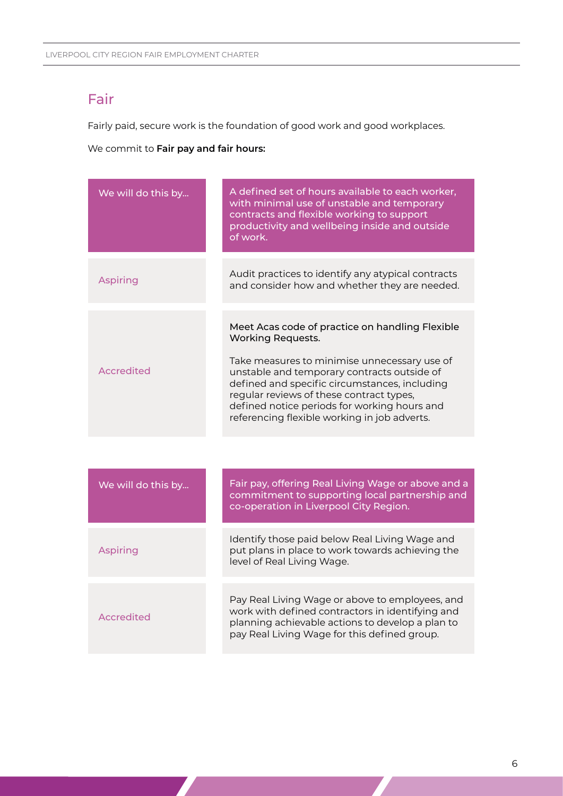# Fair

Fairly paid, secure work is the foundation of good work and good workplaces.

We commit to **Fair pay and fair hours:** 

| We will do this by | A defined set of hours available to each worker,<br>with minimal use of unstable and temporary<br>contracts and flexible working to support<br>productivity and wellbeing inside and outside<br>of work.                                                                                                                                                                |
|--------------------|-------------------------------------------------------------------------------------------------------------------------------------------------------------------------------------------------------------------------------------------------------------------------------------------------------------------------------------------------------------------------|
| <b>Aspiring</b>    | Audit practices to identify any atypical contracts<br>and consider how and whether they are needed.                                                                                                                                                                                                                                                                     |
| <b>Accredited</b>  | Meet Acas code of practice on handling Flexible<br><b>Working Requests.</b><br>Take measures to minimise unnecessary use of<br>unstable and temporary contracts outside of<br>defined and specific circumstances, including<br>regular reviews of these contract types,<br>defined notice periods for working hours and<br>referencing flexible working in job adverts. |
|                    |                                                                                                                                                                                                                                                                                                                                                                         |
| We will do this by | Fair pay, offering Real Living Wage or above and a<br>commitment to supporting local partnership and<br>co-operation in Liverpool City Region.                                                                                                                                                                                                                          |
| <b>Aspiring</b>    | Identify those paid below Real Living Wage and<br>put plans in place to work towards achieving the<br>level of Real Living Wage.                                                                                                                                                                                                                                        |
| <b>Accredited</b>  | Pay Real Living Wage or above to employees, and<br>work with defined contractors in identifying and<br>planning achievable actions to develop a plan to<br>pay Real Living Wage for this defined group.                                                                                                                                                                 |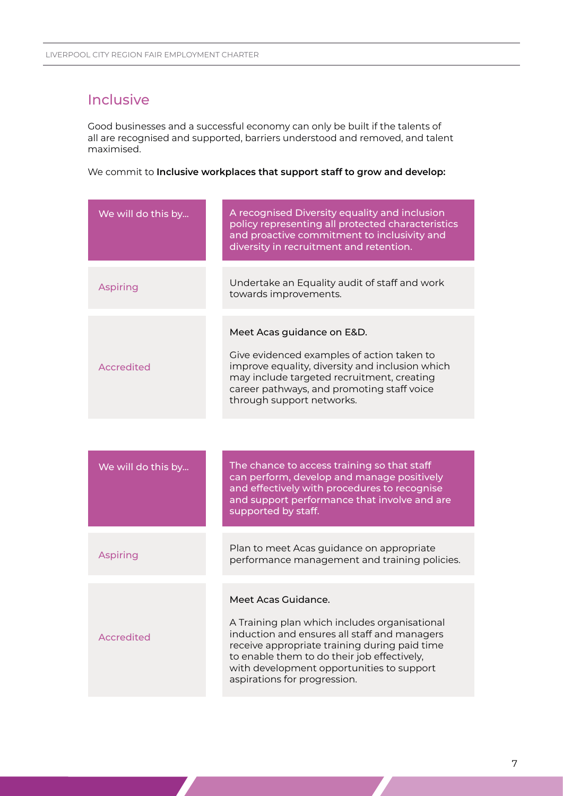## Inclusive

Good businesses and a successful economy can only be built if the talents of all are recognised and supported, barriers understood and removed, and talent maximised.

We commit to **Inclusive workplaces that support staff to grow and develop:**

| We will do this by | A recognised Diversity equality and inclusion<br>policy representing all protected characteristics<br>and proactive commitment to inclusivity and<br>diversity in recruitment and retention.                                                         |
|--------------------|------------------------------------------------------------------------------------------------------------------------------------------------------------------------------------------------------------------------------------------------------|
| <b>Aspiring</b>    | Undertake an Equality audit of staff and work<br>towards improvements.                                                                                                                                                                               |
| <b>Accredited</b>  | Meet Acas guidance on E&D.<br>Give evidenced examples of action taken to<br>improve equality, diversity and inclusion which<br>may include targeted recruitment, creating<br>career pathways, and promoting staff voice<br>through support networks. |
|                    |                                                                                                                                                                                                                                                      |
|                    |                                                                                                                                                                                                                                                      |
| We will do this by | The chance to access training so that staff<br>can perform, develop and manage positively<br>and effectively with procedures to recognise<br>and support performance that involve and are<br>supported by staff.                                     |
| <b>Aspiring</b>    | Plan to meet Acas guidance on appropriate<br>performance management and training policies.                                                                                                                                                           |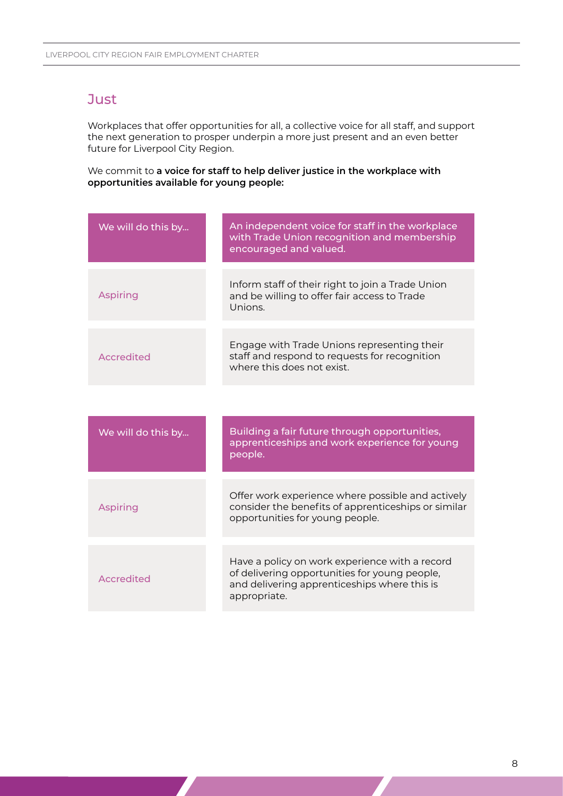### **Just**

Workplaces that offer opportunities for all, a collective voice for all staff, and support the next generation to prosper underpin a more just present and an even better future for Liverpool City Region.

We commit to **a voice for staff to help deliver justice in the workplace with opportunities available for young people:**

| We will do this by | An independent voice for staff in the workplace<br>with Trade Union recognition and membership<br>encouraged and valued.                    |
|--------------------|---------------------------------------------------------------------------------------------------------------------------------------------|
| <b>Aspiring</b>    | Inform staff of their right to join a Trade Union<br>and be willing to offer fair access to Trade<br>Unions.                                |
| <b>Accredited</b>  | Engage with Trade Unions representing their<br>staff and respond to requests for recognition<br>where this does not exist.                  |
|                    |                                                                                                                                             |
|                    |                                                                                                                                             |
| We will do this by | Building a fair future through opportunities,<br>apprenticeships and work experience for young<br>people.                                   |
| <b>Aspiring</b>    | Offer work experience where possible and actively<br>consider the benefits of apprenticeships or similar<br>opportunities for young people. |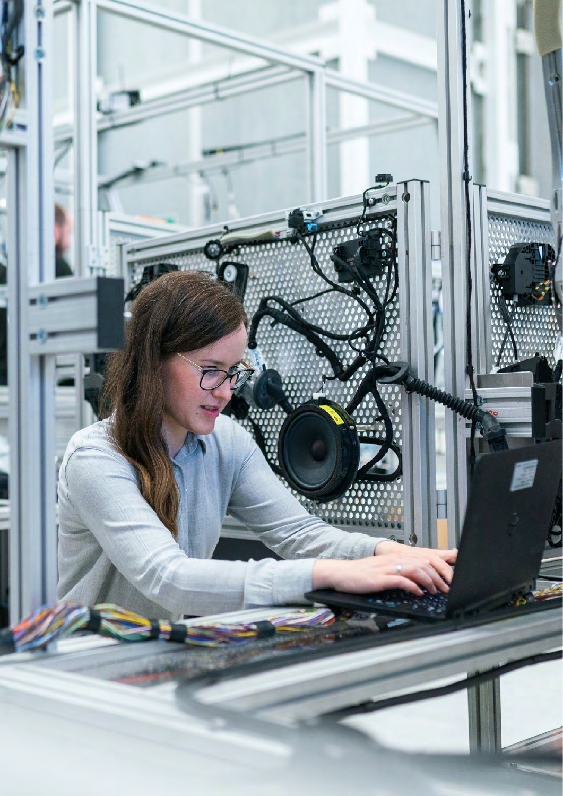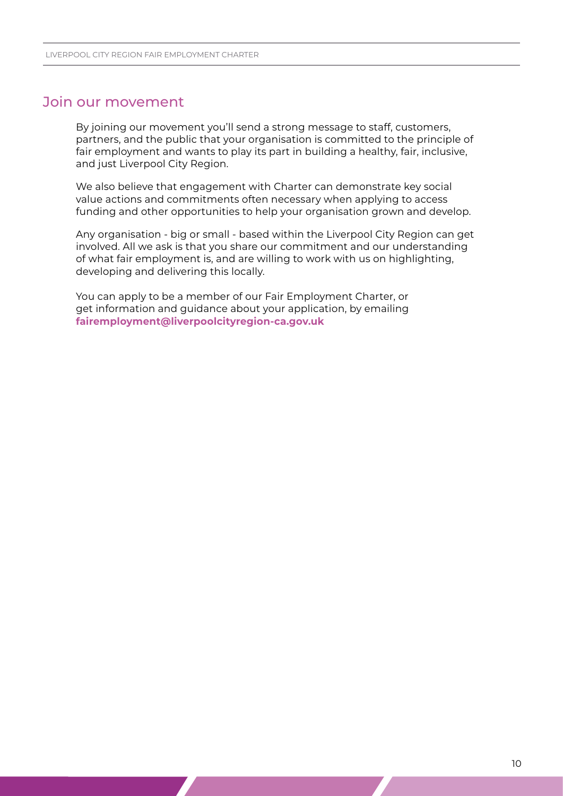#### Join our movement

By joining our movement you'll send a strong message to staff, customers, partners, and the public that your organisation is committed to the principle of fair employment and wants to play its part in building a healthy, fair, inclusive, and just Liverpool City Region.

We also believe that engagement with Charter can demonstrate key social value actions and commitments often necessary when applying to access funding and other opportunities to help your organisation grown and develop.

Any organisation - big or small - based within the Liverpool City Region can get involved. All we ask is that you share our commitment and our understanding of what fair employment is, and are willing to work with us on highlighting, developing and delivering this locally.

You can apply to be a member of our Fair Employment Charter, or get information and guidance about your application, by emailing **fairemployment@liverpoolcityregion-ca.gov.uk**